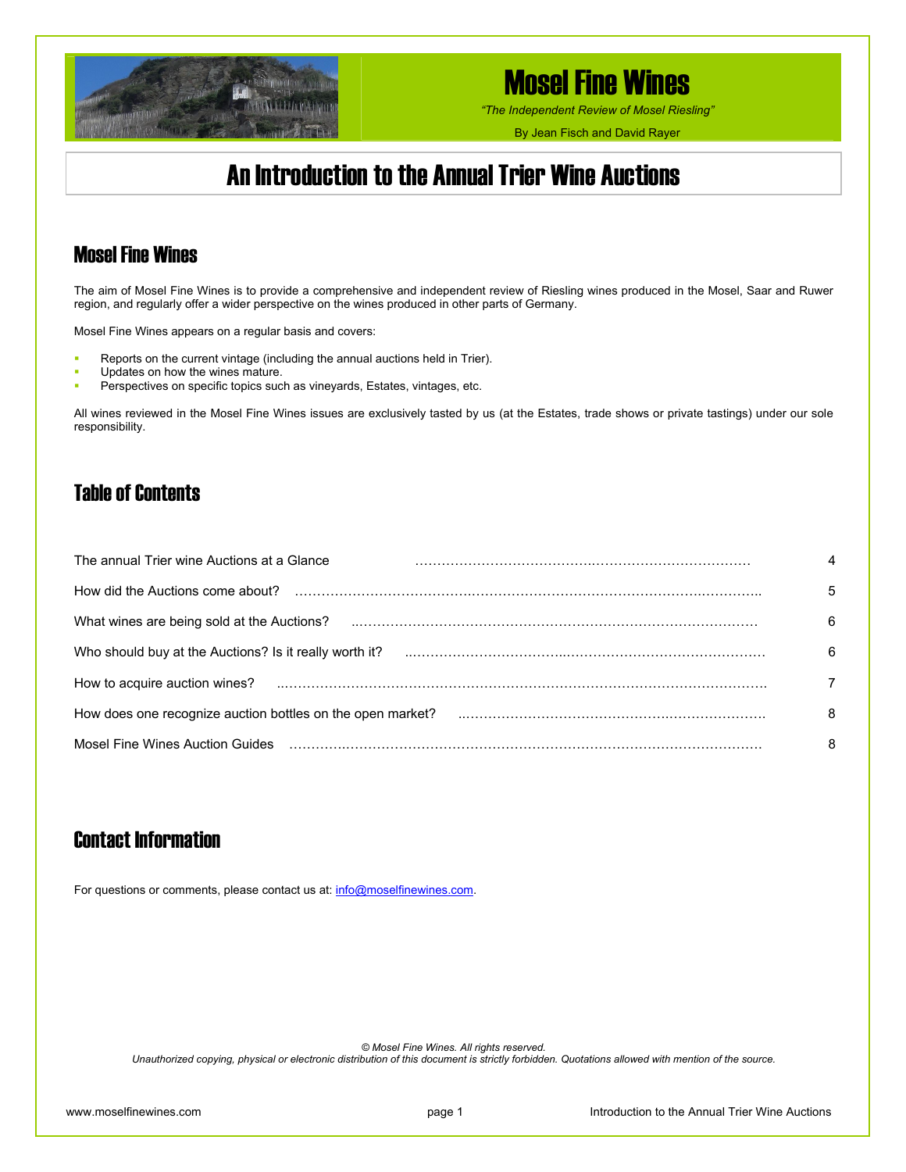

*"The Independent Review of Mosel Riesling"*

By Jean Fisch and David Rayer

## An Introduction to the Annual Trier Wine Auctions

### Mosel Fine Wines

The aim of Mosel Fine Wines is to provide a comprehensive and independent review of Riesling wines produced in the Mosel, Saar and Ruwer region, and regularly offer a wider perspective on the wines produced in other parts of Germany.

Mosel Fine Wines appears on a regular basis and covers:

- Reports on the current vintage (including the annual auctions held in Trier).
- Updates on how the wines mature.
- **Perspectives on specific topics such as vineyards, Estates, vintages, etc.**

All wines reviewed in the Mosel Fine Wines issues are exclusively tasted by us (at the Estates, trade shows or private tastings) under our sole responsibility.

### Table of Contents

| The annual Trier wine Auctions at a Glance             |                                                                                                                                                                                                                                |    |
|--------------------------------------------------------|--------------------------------------------------------------------------------------------------------------------------------------------------------------------------------------------------------------------------------|----|
|                                                        |                                                                                                                                                                                                                                | 5  |
|                                                        | What wines are being sold at the Auctions? <b>Washington Construction</b> What wines are being sold at the Auctions? <b>Washington Construction</b>                                                                            | 6  |
| Who should buy at the Auctions? Is it really worth it? |                                                                                                                                                                                                                                | 6  |
|                                                        |                                                                                                                                                                                                                                |    |
|                                                        | How does one recognize auction bottles on the open market? material contain the content of the state of the state of the state of the state of the state of the state of the state of the state of the state of the state of t | -8 |
|                                                        | Mosel Fine Wines Auction Guides (all continuation of the control of the control of the control of the control of the control of the control of the control of the control of the control of the control of the control of the  | -8 |

### Contact Information

For questions or comments, please contact us at: [info@moselfinewines.com](mailto:info@moselfinewines.com).

*© Mosel Fine Wines. All rights reserved.* 

*Unauthorized copying, physical or electronic distribution of this document is strictly forbidden. Quotations allowed with mention of the source.*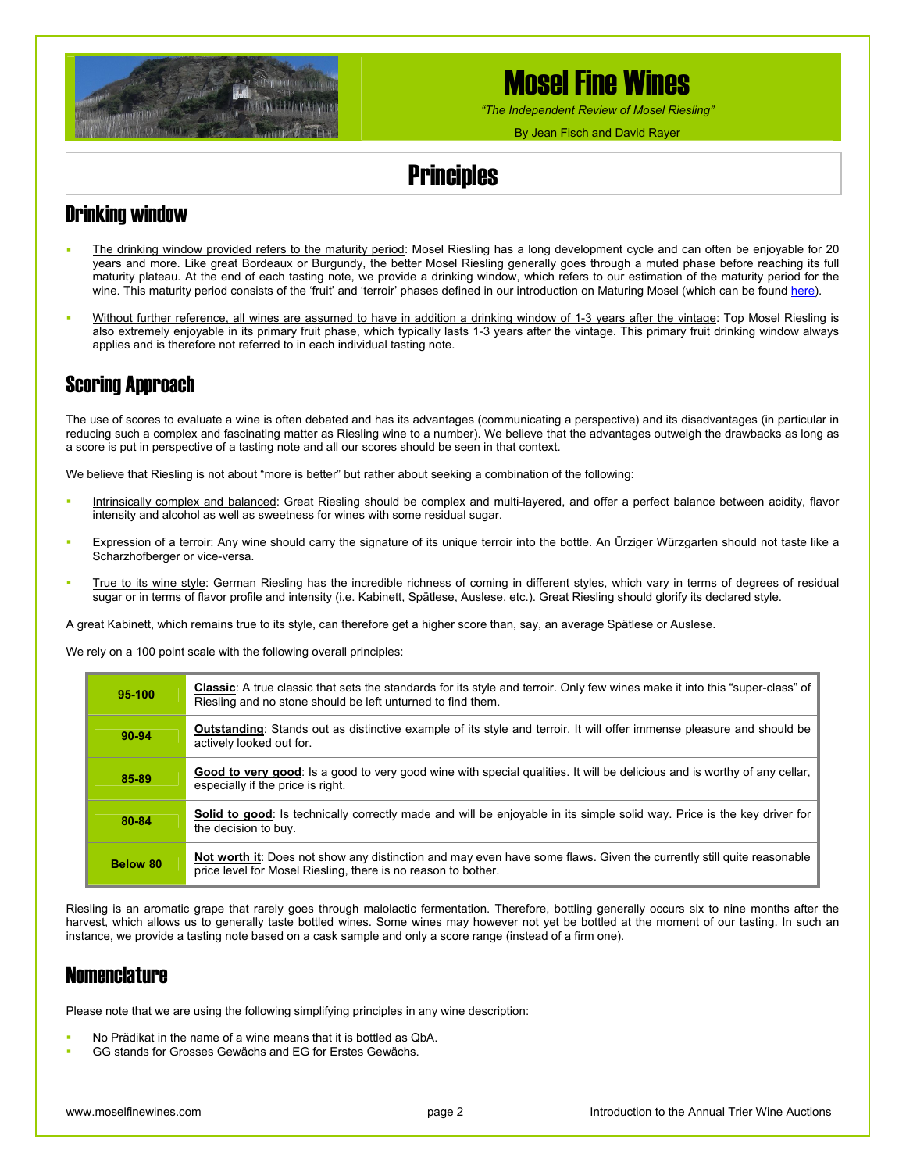

*"The Independent Review of Mosel Riesling"*

By Jean Fisch and David Rayer

## **Principles**

## Drinking window

- The drinking window provided refers to the maturity period: Mosel Riesling has a long development cycle and can often be enjoyable for 20 years and more. Like great Bordeaux or Burgundy, the better Mosel Riesling generally goes through a muted phase before reaching its full maturity plateau. At the end of each tasting note, we provide a drinking window, which refers to our estimation of the maturity period for the wine. This maturity period consists of the 'fruit' and 'terroir' phases defined in our introduction on Maturing Mosel (which can be found [here\)](http://www.moselfinewines.com/MaturingMosel.htm).
- Without further reference, all wines are assumed to have in addition a drinking window of 1-3 years after the vintage: Top Mosel Riesling is also extremely enjoyable in its primary fruit phase, which typically lasts 1-3 years after the vintage. This primary fruit drinking window always applies and is therefore not referred to in each individual tasting note.

### Scoring Approach

The use of scores to evaluate a wine is often debated and has its advantages (communicating a perspective) and its disadvantages (in particular in reducing such a complex and fascinating matter as Riesling wine to a number). We believe that the advantages outweigh the drawbacks as long as a score is put in perspective of a tasting note and all our scores should be seen in that context.

We believe that Riesling is not about "more is better" but rather about seeking a combination of the following:

- Intrinsically complex and balanced: Great Riesling should be complex and multi-layered, and offer a perfect balance between acidity, flavor intensity and alcohol as well as sweetness for wines with some residual sugar.
- Expression of a terroir: Any wine should carry the signature of its unique terroir into the bottle. An Ürziger Würzgarten should not taste like a Scharzhofberger or vice-versa.
- True to its wine style: German Riesling has the incredible richness of coming in different styles, which vary in terms of degrees of residual sugar or in terms of flavor profile and intensity (i.e. Kabinett, Spätlese, Auslese, etc.). Great Riesling should glorify its declared style.

A great Kabinett, which remains true to its style, can therefore get a higher score than, say, an average Spätlese or Auslese.

We rely on a 100 point scale with the following overall principles:

| 95-100   | <b>Classic:</b> A true classic that sets the standards for its style and terroir. Only few wines make it into this "super-class" of<br>Riesling and no stone should be left unturned to find them. |
|----------|----------------------------------------------------------------------------------------------------------------------------------------------------------------------------------------------------|
| 90-94    | <b>Outstanding:</b> Stands out as distinctive example of its style and terroir. It will offer immense pleasure and should be<br>actively looked out for.                                           |
| 85-89    | Good to very good: Is a good to very good wine with special gualities. It will be delicious and is worthy of any cellar,<br>especially if the price is right.                                      |
| 80-84    | Solid to good: Is technically correctly made and will be enjoyable in its simple solid way. Price is the key driver for<br>the decision to buy.                                                    |
| Below 80 | Not worth it: Does not show any distinction and may even have some flaws. Given the currently still quite reasonable<br>price level for Mosel Riesling, there is no reason to bother.              |

Riesling is an aromatic grape that rarely goes through malolactic fermentation. Therefore, bottling generally occurs six to nine months after the harvest, which allows us to generally taste bottled wines. Some wines may however not yet be bottled at the moment of our tasting. In such an instance, we provide a tasting note based on a cask sample and only a score range (instead of a firm one).

### **Nomenclature**

Please note that we are using the following simplifying principles in any wine description:

- No Prädikat in the name of a wine means that it is bottled as QbA.
- GG stands for Grosses Gewächs and EG for Erstes Gewächs.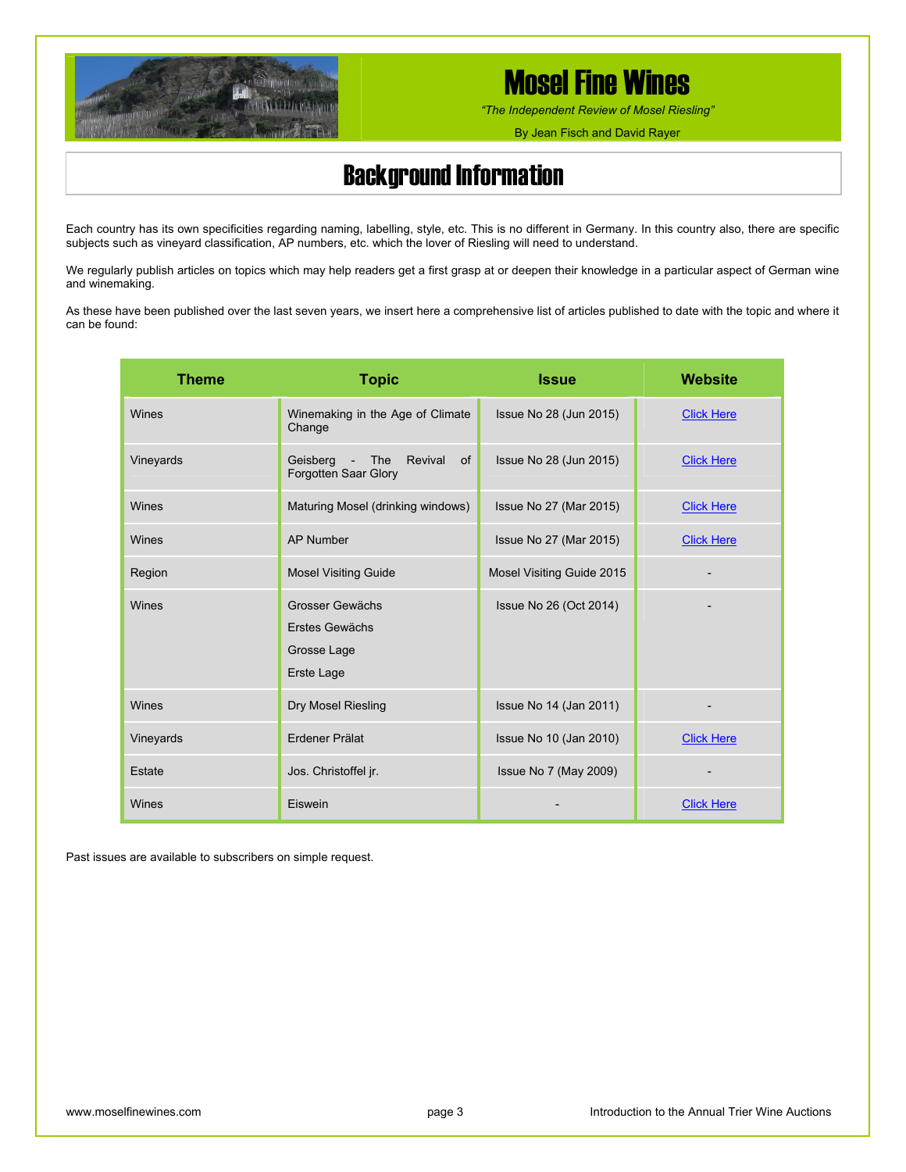

*"The Independent Review of Mosel Riesling"*

By Jean Fisch and David Rayer

## Background Information

Each country has its own specificities regarding naming, labelling, style, etc. This is no different in Germany. In this country also, there are specific subjects such as vineyard classification, AP numbers, etc. which the lover of Riesling will need to understand.

We regularly publish articles on topics which may help readers get a first grasp at or deepen their knowledge in a particular aspect of German wine and winemaking.

As these have been published over the last seven years, we insert here a comprehensive list of articles published to date with the topic and where it can be found:

| <b>Theme</b> | <b>Topic</b>                                                                         | <b>Issue</b>                 | <b>Website</b>    |
|--------------|--------------------------------------------------------------------------------------|------------------------------|-------------------|
| Wines        | Winemaking in the Age of Climate<br>Change                                           | Issue No 28 (Jun 2015)       | <b>Click Here</b> |
| Vineyards    | Revival<br>Geisberg<br>The<br>of<br>$\overline{\phantom{a}}$<br>Forgotten Saar Glory | Issue No 28 (Jun 2015)       | <b>Click Here</b> |
| Wines        | Maturing Mosel (drinking windows)                                                    | Issue No 27 (Mar 2015)       | <b>Click Here</b> |
| Wines        | <b>AP Number</b>                                                                     | Issue No 27 (Mar 2015)       | <b>Click Here</b> |
| Region       | <b>Mosel Visiting Guide</b>                                                          | Mosel Visiting Guide 2015    |                   |
| Wines        | Grosser Gewächs<br><b>Erstes Gewächs</b><br>Grosse Lage<br>Erste Lage                | Issue No 26 (Oct 2014)       |                   |
| Wines        | Dry Mosel Riesling                                                                   | Issue No 14 (Jan 2011)       |                   |
| Vineyards    | Erdener Prälat                                                                       | Issue No 10 (Jan 2010)       | <b>Click Here</b> |
| Estate       | Jos. Christoffel jr.                                                                 | <b>Issue No 7 (May 2009)</b> |                   |
| Wines        | Eiswein                                                                              |                              | <b>Click Here</b> |

Past issues are available to subscribers on simple request.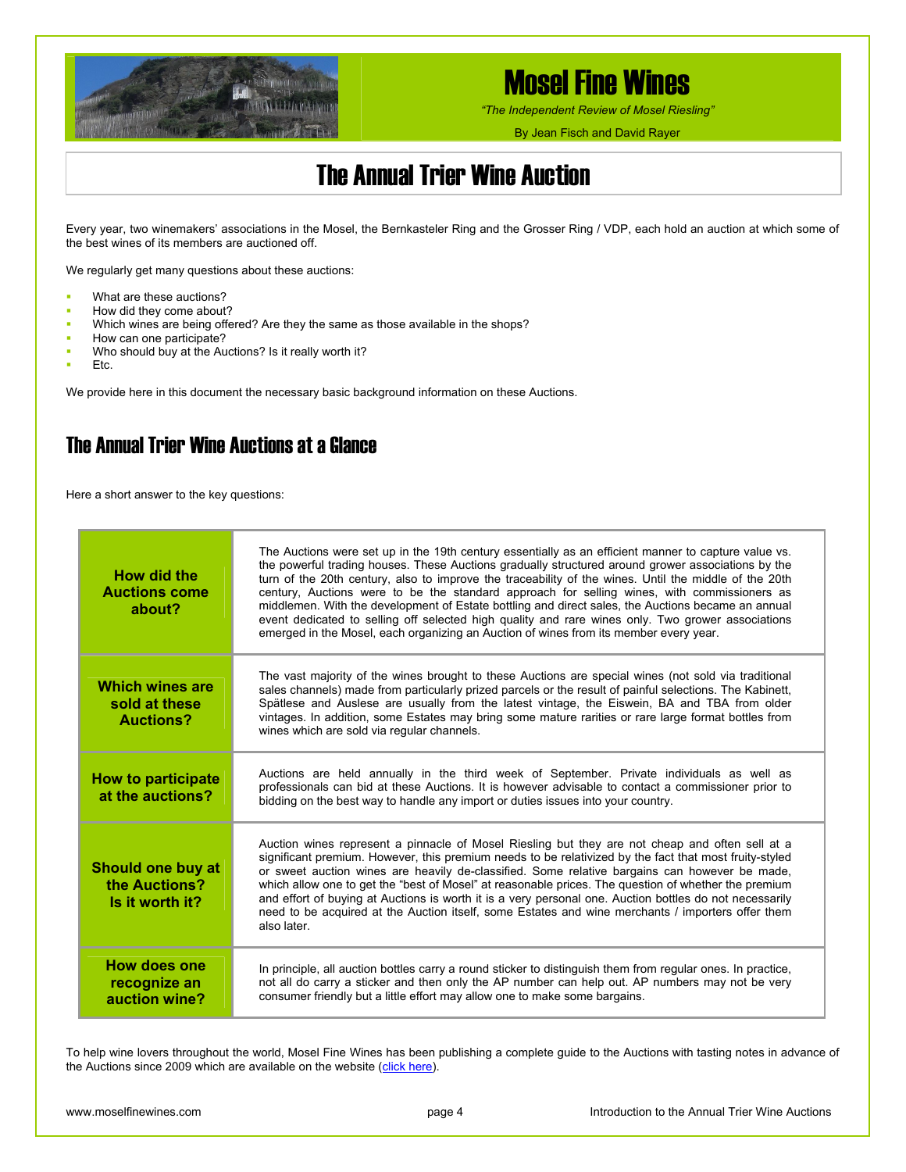

*"The Independent Review of Mosel Riesling"*

By Jean Fisch and David Rayer

## The Annual Trier Wine Auction

Every year, two winemakers' associations in the Mosel, the Bernkasteler Ring and the Grosser Ring / VDP, each hold an auction at which some of the best wines of its members are auctioned off.

We regularly get many questions about these auctions:

- **What are these auctions?**
- How did they come about?
- Which wines are being offered? Are they the same as those available in the shops?
- How can one participate?
- Who should buy at the Auctions? Is it really worth it?
- Etc.

We provide here in this document the necessary basic background information on these Auctions.

### The Annual Trier Wine Auctions at a Glance

Here a short answer to the key questions:

| How did the<br><b>Auctions come</b><br>about?                | The Auctions were set up in the 19th century essentially as an efficient manner to capture value vs.<br>the powerful trading houses. These Auctions gradually structured around grower associations by the<br>turn of the 20th century, also to improve the traceability of the wines. Until the middle of the 20th<br>century, Auctions were to be the standard approach for selling wines, with commissioners as<br>middlemen. With the development of Estate bottling and direct sales, the Auctions became an annual<br>event dedicated to selling off selected high quality and rare wines only. Two grower associations<br>emerged in the Mosel, each organizing an Auction of wines from its member every year. |
|--------------------------------------------------------------|------------------------------------------------------------------------------------------------------------------------------------------------------------------------------------------------------------------------------------------------------------------------------------------------------------------------------------------------------------------------------------------------------------------------------------------------------------------------------------------------------------------------------------------------------------------------------------------------------------------------------------------------------------------------------------------------------------------------|
| Which wines are<br>sold at these<br><b>Auctions?</b>         | The vast majority of the wines brought to these Auctions are special wines (not sold via traditional<br>sales channels) made from particularly prized parcels or the result of painful selections. The Kabinett,<br>Spätlese and Auslese are usually from the latest vintage, the Eiswein, BA and TBA from older<br>vintages. In addition, some Estates may bring some mature rarities or rare large format bottles from<br>wines which are sold via regular channels.                                                                                                                                                                                                                                                 |
| <b>How to participate</b><br>at the auctions?                | Auctions are held annually in the third week of September. Private individuals as well as<br>professionals can bid at these Auctions. It is however advisable to contact a commissioner prior to<br>bidding on the best way to handle any import or duties issues into your country.                                                                                                                                                                                                                                                                                                                                                                                                                                   |
| <b>Should one buy at</b><br>the Auctions?<br>Is it worth it? | Auction wines represent a pinnacle of Mosel Riesling but they are not cheap and often sell at a<br>significant premium. However, this premium needs to be relativized by the fact that most fruity-styled<br>or sweet auction wines are heavily de-classified. Some relative bargains can however be made,<br>which allow one to get the "best of Mosel" at reasonable prices. The question of whether the premium<br>and effort of buying at Auctions is worth it is a very personal one. Auction bottles do not necessarily<br>need to be acquired at the Auction itself, some Estates and wine merchants / importers offer them<br>also later.                                                                      |
| <b>How does one</b><br>recognize an<br>auction wine?         | In principle, all auction bottles carry a round sticker to distinguish them from regular ones. In practice,<br>not all do carry a sticker and then only the AP number can help out. AP numbers may not be very<br>consumer friendly but a little effort may allow one to make some bargains.                                                                                                                                                                                                                                                                                                                                                                                                                           |

To help wine lovers throughout the world, Mosel Fine Wines has been publishing a complete guide to the Auctions with tasting notes in advance of the Auctions since 2009 which are available on the website [\(click here](http://www.moselfinewines.com/publications.php)).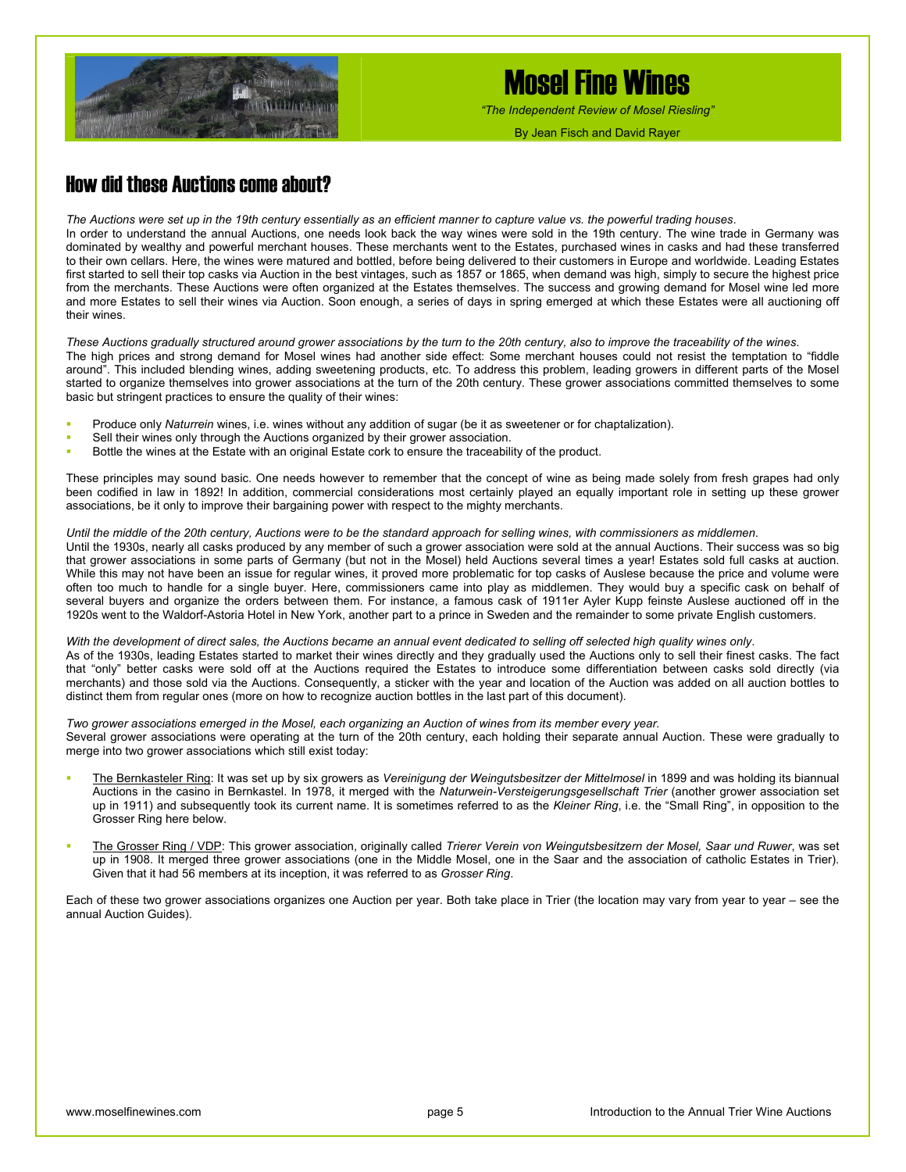

*"The Independent Review of Mosel Riesling"*

By Jean Fisch and David Rayer

### How did these Auctions come about?

*The Auctions were set up in the 19th century essentially as an efficient manner to capture value vs. the powerful trading houses*. In order to understand the annual Auctions, one needs look back the way wines were sold in the 19th century. The wine trade in Germany was dominated by wealthy and powerful merchant houses. These merchants went to the Estates, purchased wines in casks and had these transferred to their own cellars. Here, the wines were matured and bottled, before being delivered to their customers in Europe and worldwide. Leading Estates first started to sell their top casks via Auction in the best vintages, such as 1857 or 1865, when demand was high, simply to secure the highest price from the merchants. These Auctions were often organized at the Estates themselves. The success and growing demand for Mosel wine led more and more Estates to sell their wines via Auction. Soon enough, a series of days in spring emerged at which these Estates were all auctioning off their wines.

*These Auctions gradually structured around grower associations by the turn to the 20th century, also to improve the traceability of the wines*. The high prices and strong demand for Mosel wines had another side effect: Some merchant houses could not resist the temptation to "fiddle around". This included blending wines, adding sweetening products, etc. To address this problem, leading growers in different parts of the Mosel started to organize themselves into grower associations at the turn of the 20th century. These grower associations committed themselves to some basic but stringent practices to ensure the quality of their wines:

- Produce only *Naturrein* wines, i.e. wines without any addition of sugar (be it as sweetener or for chaptalization).
- Sell their wines only through the Auctions organized by their grower association.
- Bottle the wines at the Estate with an original Estate cork to ensure the traceability of the product.

These principles may sound basic. One needs however to remember that the concept of wine as being made solely from fresh grapes had only been codified in law in 1892! In addition, commercial considerations most certainly played an equally important role in setting up these grower associations, be it only to improve their bargaining power with respect to the mighty merchants.

#### *Until the middle of the 20th century, Auctions were to be the standard approach for selling wines, with commissioners as middlemen*.

Until the 1930s, nearly all casks produced by any member of such a grower association were sold at the annual Auctions. Their success was so big that grower associations in some parts of Germany (but not in the Mosel) held Auctions several times a year! Estates sold full casks at auction. While this may not have been an issue for regular wines, it proved more problematic for top casks of Auslese because the price and volume were often too much to handle for a single buyer. Here, commissioners came into play as middlemen. They would buy a specific cask on behalf of several buyers and organize the orders between them. For instance, a famous cask of 1911er Ayler Kupp feinste Auslese auctioned off in the 1920s went to the Waldorf-Astoria Hotel in New York, another part to a prince in Sweden and the remainder to some private English customers.

#### *With the development of direct sales, the Auctions became an annual event dedicated to selling off selected high quality wines only*.

As of the 1930s, leading Estates started to market their wines directly and they gradually used the Auctions only to sell their finest casks. The fact that "only" better casks were sold off at the Auctions required the Estates to introduce some differentiation between casks sold directly (via merchants) and those sold via the Auctions. Consequently, a sticker with the year and location of the Auction was added on all auction bottles to distinct them from regular ones (more on how to recognize auction bottles in the last part of this document).

*Two grower associations emerged in the Mosel, each organizing an Auction of wines from its member every year.*  Several grower associations were operating at the turn of the 20th century, each holding their separate annual Auction. These were gradually to merge into two grower associations which still exist today:

- The Bernkasteler Ring: It was set up by six growers as *Vereinigung der Weingutsbesitzer der Mittelmosel* in 1899 and was holding its biannual Auctions in the casino in Bernkastel. In 1978, it merged with the *Naturwein-Versteigerungsgesellschaft Trier* (another grower association set up in 1911) and subsequently took its current name. It is sometimes referred to as the *Kleiner Ring*, i.e. the "Small Ring", in opposition to the Grosser Ring here below.
- The Grosser Ring / VDP: This grower association, originally called *Trierer Verein von Weingutsbesitzern der Mosel, Saar und Ruwer*, was set up in 1908. It merged three grower associations (one in the Middle Mosel, one in the Saar and the association of catholic Estates in Trier). Given that it had 56 members at its inception, it was referred to as *Grosser Ring*.

Each of these two grower associations organizes one Auction per year. Both take place in Trier (the location may vary from year to year – see the annual Auction Guides).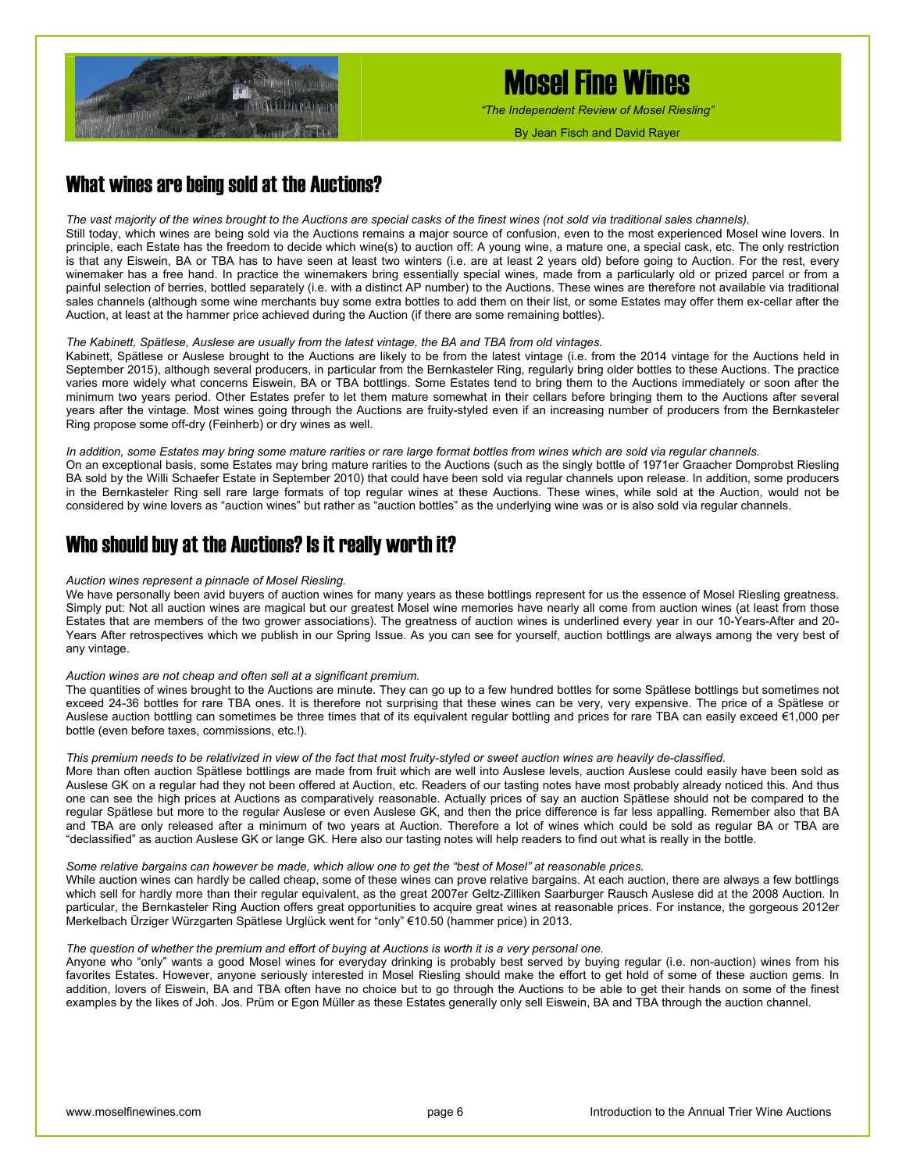

*"The Independent Review of Mosel Riesling"*

By Jean Fisch and David Rayer

### What wines are being sold at the Auctions?

*The vast majority of the wines brought to the Auctions are special casks of the finest wines (not sold via traditional sales channels).*  Still today, which wines are being sold via the Auctions remains a major source of confusion, even to the most experienced Mosel wine lovers. In principle, each Estate has the freedom to decide which wine(s) to auction off: A young wine, a mature one, a special cask, etc. The only restriction is that any Eiswein, BA or TBA has to have seen at least two winters (i.e. are at least 2 years old) before going to Auction. For the rest, every winemaker has a free hand. In practice the winemakers bring essentially special wines, made from a particularly old or prized parcel or from a painful selection of berries, bottled separately (i.e. with a distinct AP number) to the Auctions. These wines are therefore not available via traditional sales channels (although some wine merchants buy some extra bottles to add them on their list, or some Estates may offer them ex-cellar after the Auction, at least at the hammer price achieved during the Auction (if there are some remaining bottles).

#### *The Kabinett, Spätlese, Auslese are usually from the latest vintage, the BA and TBA from old vintages.*

Kabinett, Spätlese or Auslese brought to the Auctions are likely to be from the latest vintage (i.e. from the 2014 vintage for the Auctions held in September 2015), although several producers, in particular from the Bernkasteler Ring, regularly bring older bottles to these Auctions. The practice varies more widely what concerns Eiswein, BA or TBA bottlings. Some Estates tend to bring them to the Auctions immediately or soon after the minimum two years period. Other Estates prefer to let them mature somewhat in their cellars before bringing them to the Auctions after several years after the vintage. Most wines going through the Auctions are fruity-styled even if an increasing number of producers from the Bernkasteler Ring propose some off-dry (Feinherb) or dry wines as well.

#### *In addition, some Estates may bring some mature rarities or rare large format bottles from wines which are sold via regular channels.*  On an exceptional basis, some Estates may bring mature rarities to the Auctions (such as the singly bottle of 1971er Graacher Domprobst Riesling BA sold by the Willi Schaefer Estate in September 2010) that could have been sold via regular channels upon release. In addition, some producers in the Bernkasteler Ring sell rare large formats of top regular wines at these Auctions. These wines, while sold at the Auction, would not be considered by wine lovers as "auction wines" but rather as "auction bottles" as the underlying wine was or is also sold via regular channels.

#### Who should buy at the Auctions? Is it really worth it?

#### *Auction wines represent a pinnacle of Mosel Riesling.*

We have personally been avid buyers of auction wines for many years as these bottlings represent for us the essence of Mosel Riesling greatness. Simply put: Not all auction wines are magical but our greatest Mosel wine memories have nearly all come from auction wines (at least from those Estates that are members of the two grower associations). The greatness of auction wines is underlined every year in our 10-Years-After and 20- Years After retrospectives which we publish in our Spring Issue. As you can see for yourself, auction bottlings are always among the very best of any vintage.

#### *Auction wines are not cheap and often sell at a significant premium.*

The quantities of wines brought to the Auctions are minute. They can go up to a few hundred bottles for some Spätlese bottlings but sometimes not exceed 24-36 bottles for rare TBA ones. It is therefore not surprising that these wines can be very, very expensive. The price of a Spätlese or Auslese auction bottling can sometimes be three times that of its equivalent regular bottling and prices for rare TBA can easily exceed €1,000 per bottle (even before taxes, commissions, etc.!).

#### *This premium needs to be relativized in view of the fact that most fruity-styled or sweet auction wines are heavily de-classified.*

More than often auction Spätlese bottlings are made from fruit which are well into Auslese levels, auction Auslese could easily have been sold as Auslese GK on a regular had they not been offered at Auction, etc. Readers of our tasting notes have most probably already noticed this. And thus one can see the high prices at Auctions as comparatively reasonable. Actually prices of say an auction Spätlese should not be compared to the regular Spätlese but more to the regular Auslese or even Auslese GK, and then the price difference is far less appalling. Remember also that BA and TBA are only released after a minimum of two years at Auction. Therefore a lot of wines which could be sold as regular BA or TBA are "declassified" as auction Auslese GK or lange GK. Here also our tasting notes will help readers to find out what is really in the bottle.

#### *Some relative bargains can however be made, which allow one to get the "best of Mosel" at reasonable prices.*

While auction wines can hardly be called cheap, some of these wines can prove relative bargains. At each auction, there are always a few bottlings which sell for hardly more than their regular equivalent, as the great 2007er Geltz-Zilliken Saarburger Rausch Auslese did at the 2008 Auction. In particular, the Bernkasteler Ring Auction offers great opportunities to acquire great wines at reasonable prices. For instance, the gorgeous 2012er Merkelbach Ürziger Würzgarten Spätlese Urglück went for "only" €10.50 (hammer price) in 2013.

#### *The question of whether the premium and effort of buying at Auctions is worth it is a very personal one.*

Anyone who "only" wants a good Mosel wines for everyday drinking is probably best served by buying regular (i.e. non-auction) wines from his favorites Estates. However, anyone seriously interested in Mosel Riesling should make the effort to get hold of some of these auction gems. In addition, lovers of Eiswein, BA and TBA often have no choice but to go through the Auctions to be able to get their hands on some of the finest examples by the likes of Joh. Jos. Prüm or Egon Müller as these Estates generally only sell Eiswein, BA and TBA through the auction channel.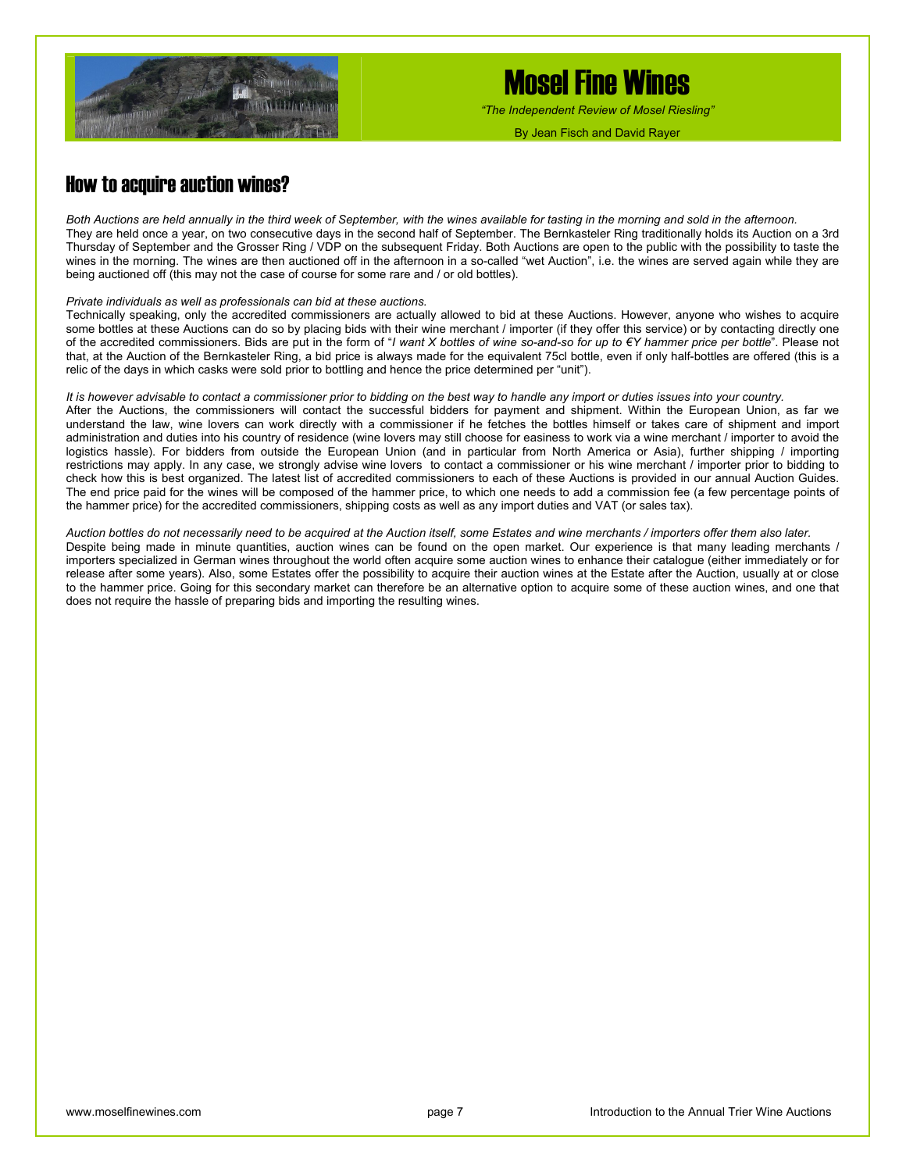

*"The Independent Review of Mosel Riesling"*

By Jean Fisch and David Rayer

### How to acquire auction wines?

*Both Auctions are held annually in the third week of September, with the wines available for tasting in the morning and sold in the afternoon.*  They are held once a year, on two consecutive days in the second half of September. The Bernkasteler Ring traditionally holds its Auction on a 3rd Thursday of September and the Grosser Ring / VDP on the subsequent Friday. Both Auctions are open to the public with the possibility to taste the wines in the morning. The wines are then auctioned off in the afternoon in a so-called "wet Auction", i.e. the wines are served again while they are being auctioned off (this may not the case of course for some rare and / or old bottles).

#### *Private individuals as well as professionals can bid at these auctions.*

Technically speaking, only the accredited commissioners are actually allowed to bid at these Auctions. However, anyone who wishes to acquire some bottles at these Auctions can do so by placing bids with their wine merchant / importer (if they offer this service) or by contacting directly one of the accredited commissioners. Bids are put in the form of "*I want X bottles of wine so-and-so for up to €Y hammer price per bottle*". Please not that, at the Auction of the Bernkasteler Ring, a bid price is always made for the equivalent 75cl bottle, even if only half-bottles are offered (this is a relic of the days in which casks were sold prior to bottling and hence the price determined per "unit").

#### *It is however advisable to contact a commissioner prior to bidding on the best way to handle any import or duties issues into your country.*  After the Auctions, the commissioners will contact the successful bidders for payment and shipment. Within the European Union, as far we understand the law, wine lovers can work directly with a commissioner if he fetches the bottles himself or takes care of shipment and import administration and duties into his country of residence (wine lovers may still choose for easiness to work via a wine merchant / importer to avoid the logistics hassle). For bidders from outside the European Union (and in particular from North America or Asia), further shipping / importing restrictions may apply. In any case, we strongly advise wine lovers to contact a commissioner or his wine merchant / importer prior to bidding to check how this is best organized. The latest list of accredited commissioners to each of these Auctions is provided in our annual Auction Guides. The end price paid for the wines will be composed of the hammer price, to which one needs to add a commission fee (a few percentage points of the hammer price) for the accredited commissioners, shipping costs as well as any import duties and VAT (or sales tax).

*Auction bottles do not necessarily need to be acquired at the Auction itself, some Estates and wine merchants / importers offer them also later.*  Despite being made in minute quantities, auction wines can be found on the open market. Our experience is that many leading merchants / importers specialized in German wines throughout the world often acquire some auction wines to enhance their catalogue (either immediately or for release after some years). Also, some Estates offer the possibility to acquire their auction wines at the Estate after the Auction, usually at or close to the hammer price. Going for this secondary market can therefore be an alternative option to acquire some of these auction wines, and one that does not require the hassle of preparing bids and importing the resulting wines.